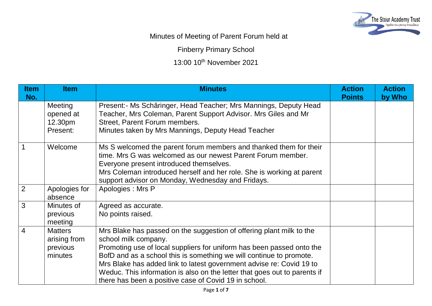

## Minutes of Meeting of Parent Forum held at

Finberry Primary School

13:00 10th November 2021

| <b>Item</b><br>No. | <b>Item</b>                                           | <b>Minutes</b>                                                                                                                                                                                                                                                                                                                                                                                                                                             | <b>Action</b><br><b>Points</b> | <b>Action</b><br>by Who |
|--------------------|-------------------------------------------------------|------------------------------------------------------------------------------------------------------------------------------------------------------------------------------------------------------------------------------------------------------------------------------------------------------------------------------------------------------------------------------------------------------------------------------------------------------------|--------------------------------|-------------------------|
|                    | Meeting<br>opened at<br>12.30pm<br>Present:           | Present: - Ms Schâringer, Head Teacher; Mrs Mannings, Deputy Head<br>Teacher, Mrs Coleman, Parent Support Advisor. Mrs Giles and Mr<br>Street, Parent Forum members.<br>Minutes taken by Mrs Mannings, Deputy Head Teacher                                                                                                                                                                                                                                 |                                |                         |
| $\overline{1}$     | Welcome                                               | Ms S welcomed the parent forum members and thanked them for their<br>time. Mrs G was welcomed as our newest Parent Forum member.<br>Everyone present introduced themselves.<br>Mrs Coleman introduced herself and her role. She is working at parent<br>support advisor on Monday, Wednesday and Fridays.                                                                                                                                                  |                                |                         |
| $\overline{2}$     | Apologies for<br>absence                              | Apologies: Mrs P                                                                                                                                                                                                                                                                                                                                                                                                                                           |                                |                         |
| $\mathbf{3}$       | Minutes of<br>previous<br>meeting                     | Agreed as accurate.<br>No points raised.                                                                                                                                                                                                                                                                                                                                                                                                                   |                                |                         |
| $\overline{4}$     | <b>Matters</b><br>arising from<br>previous<br>minutes | Mrs Blake has passed on the suggestion of offering plant milk to the<br>school milk company.<br>Promoting use of local suppliers for uniform has been passed onto the<br>BofD and as a school this is something we will continue to promote.<br>Mrs Blake has added link to latest government advise re: Covid 19 to<br>Weduc. This information is also on the letter that goes out to parents if<br>there has been a positive case of Covid 19 in school. |                                |                         |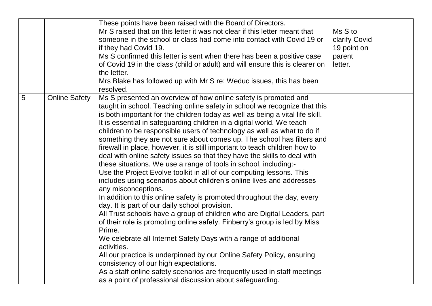|                 |                      | These points have been raised with the Board of Directors.<br>Mr S raised that on this letter it was not clear if this letter meant that<br>someone in the school or class had come into contact with Covid 19 or<br>if they had Covid 19.<br>Ms S confirmed this letter is sent when there has been a positive case<br>of Covid 19 in the class (child or adult) and will ensure this is clearer on<br>the letter.<br>Mrs Blake has followed up with Mr S re: Weduc issues, this has been<br>resolved.                                                                                                                                                                                                                                                                                                                                                                                                                                                                                                                                                                                                                                                                                                                                                                                                                                                                                                                                                                                                        | Ms S to<br>clarify Covid<br>19 point on<br>parent<br>letter. |  |
|-----------------|----------------------|----------------------------------------------------------------------------------------------------------------------------------------------------------------------------------------------------------------------------------------------------------------------------------------------------------------------------------------------------------------------------------------------------------------------------------------------------------------------------------------------------------------------------------------------------------------------------------------------------------------------------------------------------------------------------------------------------------------------------------------------------------------------------------------------------------------------------------------------------------------------------------------------------------------------------------------------------------------------------------------------------------------------------------------------------------------------------------------------------------------------------------------------------------------------------------------------------------------------------------------------------------------------------------------------------------------------------------------------------------------------------------------------------------------------------------------------------------------------------------------------------------------|--------------------------------------------------------------|--|
| $5\overline{)}$ | <b>Online Safety</b> | Ms S presented an overview of how online safety is promoted and<br>taught in school. Teaching online safety in school we recognize that this<br>is both important for the children today as well as being a vital life skill.<br>It is essential in safeguarding children in a digital world. We teach<br>children to be responsible users of technology as well as what to do if<br>something they are not sure about comes up. The school has filters and<br>firewall in place, however, it is still important to teach children how to<br>deal with online safety issues so that they have the skills to deal with<br>these situations. We use a range of tools in school, including:-<br>Use the Project Evolve toolkit in all of our computing lessons. This<br>includes using scenarios about children's online lives and addresses<br>any misconceptions.<br>In addition to this online safety is promoted throughout the day, every<br>day. It is part of our daily school provision.<br>All Trust schools have a group of children who are Digital Leaders, part<br>of their role is promoting online safety. Finberry's group is led by Miss<br>Prime.<br>We celebrate all Internet Safety Days with a range of additional<br>activities.<br>All our practice is underpinned by our Online Safety Policy, ensuring<br>consistency of our high expectations.<br>As a staff online safety scenarios are frequently used in staff meetings<br>as a point of professional discussion about safeguarding. |                                                              |  |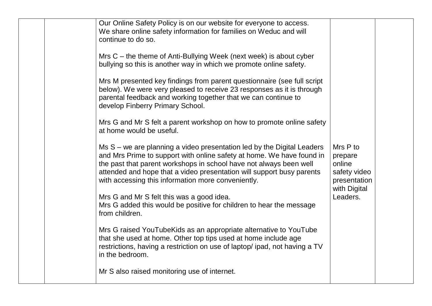|  | Our Online Safety Policy is on our website for everyone to access.<br>We share online safety information for families on Weduc and will<br>continue to do so.<br>Mrs $C$ – the theme of Anti-Bullying Week (next week) is about cyber<br>bullying so this is another way in which we promote online safety.<br>Mrs M presented key findings from parent questionnaire (see full script<br>below). We were very pleased to receive 23 responses as it is through<br>parental feedback and working together that we can continue to<br>develop Finberry Primary School.<br>Mrs G and Mr S felt a parent workshop on how to promote online safety<br>at home would be useful.<br>Ms S – we are planning a video presentation led by the Digital Leaders<br>and Mrs Prime to support with online safety at home. We have found in<br>the past that parent workshops in school have not always been well<br>attended and hope that a video presentation will support busy parents<br>with accessing this information more conveniently.<br>Mrs G and Mr S felt this was a good idea.<br>Mrs G added this would be positive for children to hear the message<br>from children.<br>Mrs G raised YouTubeKids as an appropriate alternative to YouTube<br>that she used at home. Other top tips used at home include age<br>restrictions, having a restriction on use of laptop/ipad, not having a TV<br>in the bedroom.<br>Mr S also raised monitoring use of internet. | Mrs P to<br>prepare<br>online<br>safety video<br>presentation<br>with Digital<br>Leaders. |  |
|--|-----------------------------------------------------------------------------------------------------------------------------------------------------------------------------------------------------------------------------------------------------------------------------------------------------------------------------------------------------------------------------------------------------------------------------------------------------------------------------------------------------------------------------------------------------------------------------------------------------------------------------------------------------------------------------------------------------------------------------------------------------------------------------------------------------------------------------------------------------------------------------------------------------------------------------------------------------------------------------------------------------------------------------------------------------------------------------------------------------------------------------------------------------------------------------------------------------------------------------------------------------------------------------------------------------------------------------------------------------------------------------------------------------------------------------------------------------------------|-------------------------------------------------------------------------------------------|--|
|--|-----------------------------------------------------------------------------------------------------------------------------------------------------------------------------------------------------------------------------------------------------------------------------------------------------------------------------------------------------------------------------------------------------------------------------------------------------------------------------------------------------------------------------------------------------------------------------------------------------------------------------------------------------------------------------------------------------------------------------------------------------------------------------------------------------------------------------------------------------------------------------------------------------------------------------------------------------------------------------------------------------------------------------------------------------------------------------------------------------------------------------------------------------------------------------------------------------------------------------------------------------------------------------------------------------------------------------------------------------------------------------------------------------------------------------------------------------------------|-------------------------------------------------------------------------------------------|--|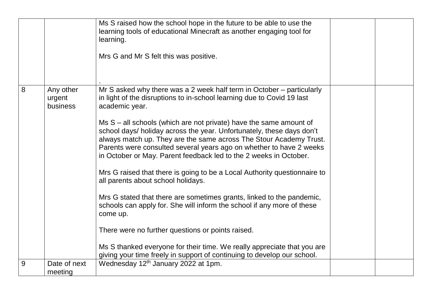|   |                                 | Ms S raised how the school hope in the future to be able to use the<br>learning tools of educational Minecraft as another engaging tool for<br>learning.<br>Mrs G and Mr S felt this was positive.                                                                                                                                                                                                                                                                                                                                                                                                                                                                                                                                                                                                                                                                                                                                                                                                                              |  |
|---|---------------------------------|---------------------------------------------------------------------------------------------------------------------------------------------------------------------------------------------------------------------------------------------------------------------------------------------------------------------------------------------------------------------------------------------------------------------------------------------------------------------------------------------------------------------------------------------------------------------------------------------------------------------------------------------------------------------------------------------------------------------------------------------------------------------------------------------------------------------------------------------------------------------------------------------------------------------------------------------------------------------------------------------------------------------------------|--|
| 8 | Any other<br>urgent<br>business | Mr S asked why there was a 2 week half term in October – particularly<br>in light of the disruptions to in-school learning due to Covid 19 last<br>academic year.<br>Ms S - all schools (which are not private) have the same amount of<br>school days/ holiday across the year. Unfortunately, these days don't<br>always match up. They are the same across The Stour Academy Trust.<br>Parents were consulted several years ago on whether to have 2 weeks<br>in October or May. Parent feedback led to the 2 weeks in October.<br>Mrs G raised that there is going to be a Local Authority questionnaire to<br>all parents about school holidays.<br>Mrs G stated that there are sometimes grants, linked to the pandemic,<br>schools can apply for. She will inform the school if any more of these<br>come up.<br>There were no further questions or points raised.<br>Ms S thanked everyone for their time. We really appreciate that you are<br>giving your time freely in support of continuing to develop our school. |  |
| 9 | Date of next<br>meeting         | Wednesday 12 <sup>th</sup> January 2022 at 1pm.                                                                                                                                                                                                                                                                                                                                                                                                                                                                                                                                                                                                                                                                                                                                                                                                                                                                                                                                                                                 |  |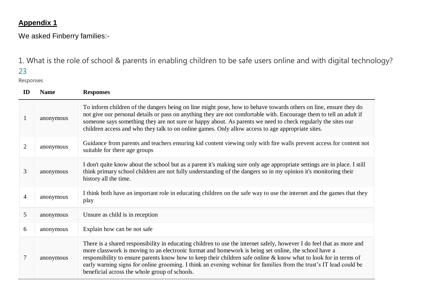## **Appendix 1**

We asked Finberry families:-

1. What is the role of school & parents in enabling children to be safe users online and with digital technology?

## 23

Responses

| $\mathbf{ID}$  | <b>Name</b> | <b>Responses</b>                                                                                                                                                                                                                                                                                                                                                                                                                                                                                                         |
|----------------|-------------|--------------------------------------------------------------------------------------------------------------------------------------------------------------------------------------------------------------------------------------------------------------------------------------------------------------------------------------------------------------------------------------------------------------------------------------------------------------------------------------------------------------------------|
| $\mathbf{1}$   | anonymous   | To inform children of the dangers being on line might pose, how to behave towards others on line, ensure they do<br>not give our personal details or pass on anything they are not comfortable with. Encourage them to tell an adult if<br>someone says something they are not sure or happy about. As parents we need to check regularly the sites our<br>children access and who they talk to on online games. Only allow access to age appropriate sites.                                                             |
| $\overline{2}$ | anonymous   | Guidance from parents and teachers ensuring kid content viewing only with fire walls prevent access for content not<br>suitable for there age groups                                                                                                                                                                                                                                                                                                                                                                     |
| 3              | anonymous   | I don't quite know about the school but as a parent it's making sure only age appropriate settings are in place. I still<br>think primary school children are not fully understanding of the dangers so in my opinion it's monitoring their<br>history all the time.                                                                                                                                                                                                                                                     |
| 4              | anonymous   | I think both have an important role in educating children on the safe way to use the internet and the games that they<br>play                                                                                                                                                                                                                                                                                                                                                                                            |
| 5              | anonymous   | Unsure as child is in reception                                                                                                                                                                                                                                                                                                                                                                                                                                                                                          |
| 6              | anonymous   | Explain how can be not safe                                                                                                                                                                                                                                                                                                                                                                                                                                                                                              |
| 7              | anonymous   | There is a shared responsibility in educating children to use the internet safely, however I do feel that as more and<br>more classwork is moving to an electronic format and homework is being set online, the school have a<br>responsibility to ensure parents know how to keep their children safe online & know what to look for in terms of<br>early warning signs for online grooming. I think an evening webinar for families from the trust's IT lead could be<br>beneficial across the whole group of schools. |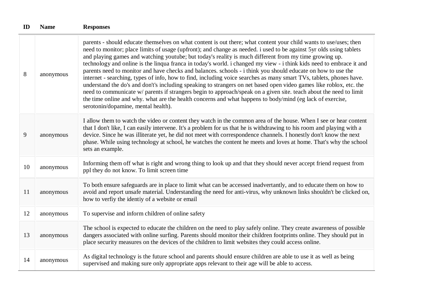| ID | <b>Name</b> | <b>Responses</b>                                                                                                                                                                                                                                                                                                                                                                                                                                                                                                                                                                                                                                                                                                                                                                                                                                                                                                                                                                                                                                                                                                   |
|----|-------------|--------------------------------------------------------------------------------------------------------------------------------------------------------------------------------------------------------------------------------------------------------------------------------------------------------------------------------------------------------------------------------------------------------------------------------------------------------------------------------------------------------------------------------------------------------------------------------------------------------------------------------------------------------------------------------------------------------------------------------------------------------------------------------------------------------------------------------------------------------------------------------------------------------------------------------------------------------------------------------------------------------------------------------------------------------------------------------------------------------------------|
| 8  | anonymous   | parents - should educate themselves on what content is out there; what content your child wants to use/uses; then<br>need to monitor; place limits of usage (upfront); and change as needed. i used to be against 5yr olds using tablets<br>and playing games and watching youtube; but today's reality is much different from my time growing up.<br>technology and online is the linqua franca in today's world. i changed my view - i think kids need to embrace it and<br>parents need to monitor and have checks and balances. schools - i think you should educate on how to use the<br>internet - searching, types of info, how to find, including voice searches as many smart TVs, tablets, phones have.<br>understand the do's and don't's including speaking to strangers on net based open video games like roblox, etc. the<br>need to communicate w/ parents if strangers begin to approach/speak on a given site. teach about the need to limit<br>the time online and why. what are the health concerns and what happens to body/mind (eg lack of exercise,<br>serotonin/dopamine, mental health). |
| 9  | anonymous   | I allow them to watch the video or content they watch in the common area of the house. When I see or hear content<br>that I don't like, I can easily intervene. It's a problem for us that he is withdrawing to his room and playing with a<br>device. Since he was illiterate yet, he did not meet with correspondence channels. I honestly don't know the next<br>phase. While using technology at school, he watches the content he meets and loves at home. That's why the school<br>sets an example.                                                                                                                                                                                                                                                                                                                                                                                                                                                                                                                                                                                                          |
| 10 | anonymous   | Informing them off what is right and wrong thing to look up and that they should never accept friend request from<br>ppl they do not know. To limit screen time                                                                                                                                                                                                                                                                                                                                                                                                                                                                                                                                                                                                                                                                                                                                                                                                                                                                                                                                                    |
| 11 | anonymous   | To both ensure safeguards are in place to limit what can be accessed inadvertantly, and to educate them on how to<br>avoid and report unsafe material. Understanding the need for anti-virus, why unknown links shouldn't be clicked on,<br>how to verfiy the identiy of a website or email                                                                                                                                                                                                                                                                                                                                                                                                                                                                                                                                                                                                                                                                                                                                                                                                                        |
| 12 | anonymous   | To supervise and inform children of online safety                                                                                                                                                                                                                                                                                                                                                                                                                                                                                                                                                                                                                                                                                                                                                                                                                                                                                                                                                                                                                                                                  |
| 13 | anonymous   | The school is expected to educate the children on the need to play safely online. They create awareness of possible<br>dangers associated with online surfing. Parents should monitor their children footprints online. They should put in<br>place security measures on the devices of the children to limit websites they could access online.                                                                                                                                                                                                                                                                                                                                                                                                                                                                                                                                                                                                                                                                                                                                                                   |
| 14 | anonymous   | As digital technology is the future school and parents should ensure children are able to use it as well as being<br>supervised and making sure only appropriate apps relevant to their age will be able to access.                                                                                                                                                                                                                                                                                                                                                                                                                                                                                                                                                                                                                                                                                                                                                                                                                                                                                                |